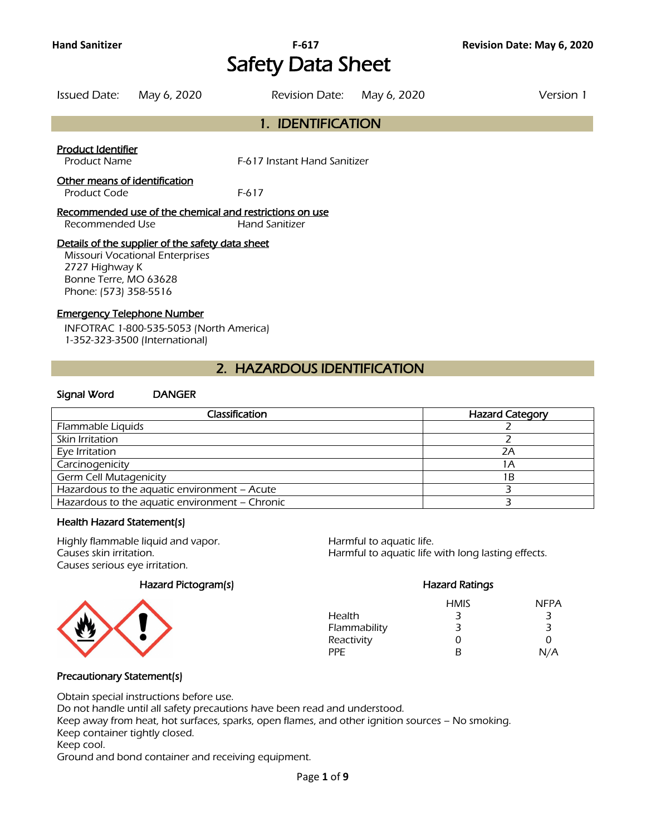# **Hand Sanitizer F-617 Revision Date: May 6, 2020** Safety Data Sheet

| Issued Date: May 6, 2020                  | Revision Date: May 6, 2020   | Version 1 |
|-------------------------------------------|------------------------------|-----------|
|                                           | 1. IDENTIFICATION            |           |
| Product Identifier<br><b>Product Name</b> | F-617 Instant Hand Sanitizer |           |

#### Other means of identification

Product Code F-617

Recommended use of the chemical and restrictions on use Recommended Use Hand Sanitizer

#### Details of the supplier of the safety data sheet

Missouri Vocational Enterprises 2727 Highway K Bonne Terre, MO 63628 Phone: (573) 358-5516

#### Emergency Telephone Number

INFOTRAC 1-800-535-5053 (North America) 1-352-323-3500 (International)

### 2. HAZARDOUS IDENTIFICATION

#### Signal Word DANGER

| Classification                                 | <b>Hazard Category</b> |
|------------------------------------------------|------------------------|
| Flammable Liquids                              |                        |
| Skin Irritation                                |                        |
| Eye Irritation                                 | 7Α                     |
| Carcinogenicity                                |                        |
| <b>Germ Cell Mutagenicity</b>                  | ΙB                     |
| Hazardous to the aquatic environment - Acute   |                        |
| Hazardous to the aquatic environment - Chronic |                        |
|                                                |                        |

#### Health Hazard Statement(s)

Highly flammable liquid and vapor. Harmful to aquatic life. Causes serious eye irritation.

Hazard Pictogram(s) Entrancement Controllerings and Hazard Ratings



Causes skin irritation. Harmful to aquatic life with long lasting effects.

|              | <b>HMIS</b> | <b>NFPA</b> |
|--------------|-------------|-------------|
| Health       | 3           | З           |
| Flammability | З           | З           |
| Reactivity   | 0           | O           |
| PPF          | R           | N/A         |

### Precautionary Statement(s)

Obtain special instructions before use.

Do not handle until all safety precautions have been read and understood.

Keep away from heat, hot surfaces, sparks, open flames, and other ignition sources – No smoking. Keep container tightly closed.

#### Keep cool.

Ground and bond container and receiving equipment.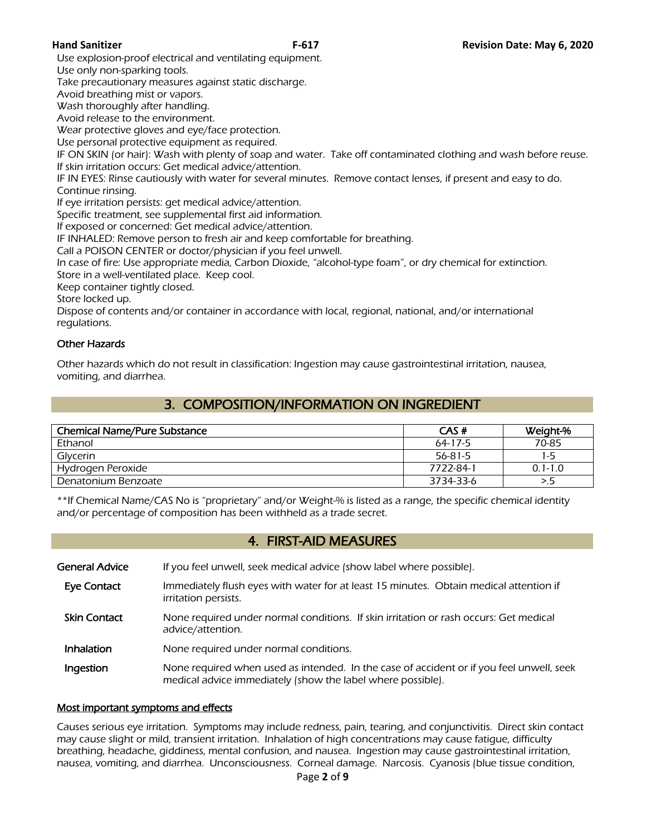Use explosion-proof electrical and ventilating equipment.

Use only non-sparking tools.

Take precautionary measures against static discharge.

Avoid breathing mist or vapors.

Wash thoroughly after handling.

Avoid release to the environment.

Wear protective gloves and eye/face protection.

Use personal protective equipment as required.

IF ON SKIN (or hair): Wash with plenty of soap and water. Take off contaminated clothing and wash before reuse. If skin irritation occurs: Get medical advice/attention.

IF IN EYES: Rinse cautiously with water for several minutes. Remove contact lenses, if present and easy to do. Continue rinsing.

If eye irritation persists: get medical advice/attention.

Specific treatment, see supplemental first aid information.

If exposed or concerned: Get medical advice/attention.

IF INHALED: Remove person to fresh air and keep comfortable for breathing.

Call a POISON CENTER or doctor/physician if you feel unwell.

In case of fire: Use appropriate media, Carbon Dioxide, "alcohol-type foam", or dry chemical for extinction.

Store in a well-ventilated place. Keep cool.

Keep container tightly closed.

Store locked up.

Dispose of contents and/or container in accordance with local, regional, national, and/or international regulations.

### Other Hazards

Other hazards which do not result in classification: Ingestion may cause gastrointestinal irritation, nausea, vomiting, and diarrhea.

# 3. COMPOSITION/INFORMATION ON INGREDIENT

| <b>Chemical Name/Pure Substance</b> | CAS#          | Weight-%    |
|-------------------------------------|---------------|-------------|
| Ethanol                             | 64-17-5       | 70-85       |
| Glycerin                            | $56 - 81 - 5$ | 1-5         |
| Hydrogen Peroxide                   | 7722-84-1     | $0.1 - 1.0$ |
| Denatonium Benzoate                 | 3734-33-6     |             |
|                                     |               |             |

\*\*If Chemical Name/CAS No is "proprietary" and/or Weight-% is listed as a range, the specific chemical identity and/or percentage of composition has been withheld as a trade secret.

### 4. FIRST-AID MEASURES

| General Advice      | If you feel unwell, seek medical advice (show label where possible).                                                                                    |
|---------------------|---------------------------------------------------------------------------------------------------------------------------------------------------------|
| <b>Eye Contact</b>  | Immediately flush eyes with water for at least 15 minutes. Obtain medical attention if<br>irritation persists.                                          |
| <b>Skin Contact</b> | None required under normal conditions. If skin irritation or rash occurs: Get medical<br>advice/attention.                                              |
| Inhalation          | None required under normal conditions.                                                                                                                  |
| Ingestion           | None required when used as intended. In the case of accident or if you feel unwell, seek<br>medical advice immediately (show the label where possible). |

#### Most important symptoms and effects

Causes serious eye irritation. Symptoms may include redness, pain, tearing, and conjunctivitis. Direct skin contact may cause slight or mild, transient irritation. Inhalation of high concentrations may cause fatigue, difficulty breathing, headache, giddiness, mental confusion, and nausea. Ingestion may cause gastrointestinal irritation, nausea, vomiting, and diarrhea. Unconsciousness. Corneal damage. Narcosis. Cyanosis (blue tissue condition,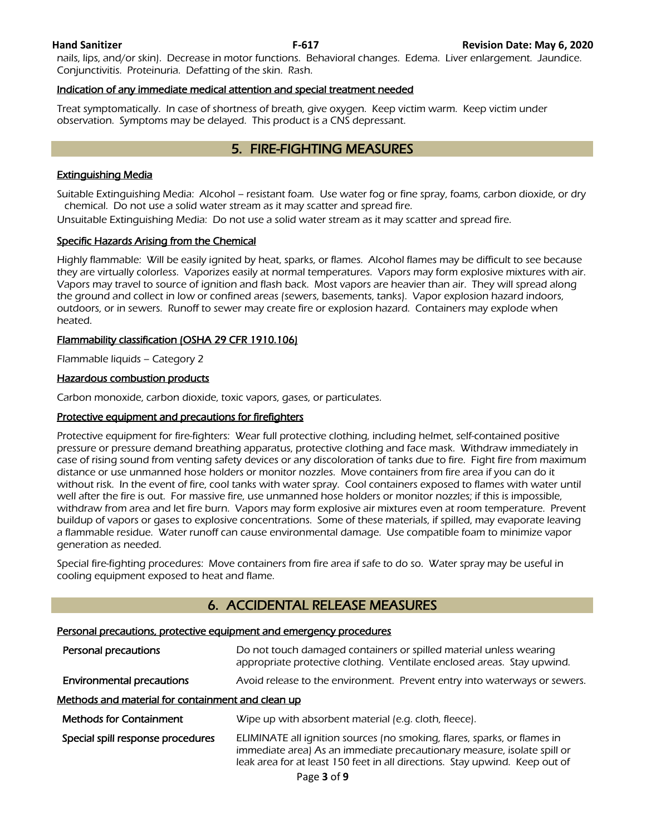nails, lips, and/or skin). Decrease in motor functions. Behavioral changes. Edema. Liver enlargement. Jaundice. Conjunctivitis. Proteinuria. Defatting of the skin. Rash.

#### Indication of any immediate medical attention and special treatment needed

Treat symptomatically. In case of shortness of breath, give oxygen. Keep victim warm. Keep victim under observation. Symptoms may be delayed. This product is a CNS depressant.

### 5. FIRE-FIGHTING MEASURES

#### Extinguishing Media

Suitable Extinguishing Media: Alcohol – resistant foam. Use water fog or fine spray, foams, carbon dioxide, or dry chemical. Do not use a solid water stream as it may scatter and spread fire.

Unsuitable Extinguishing Media: Do not use a solid water stream as it may scatter and spread fire.

#### Specific Hazards Arising from the Chemical

Highly flammable: Will be easily ignited by heat, sparks, or flames. Alcohol flames may be difficult to see because they are virtually colorless. Vaporizes easily at normal temperatures. Vapors may form explosive mixtures with air. Vapors may travel to source of ignition and flash back. Most vapors are heavier than air. They will spread along the ground and collect in low or confined areas (sewers, basements, tanks). Vapor explosion hazard indoors, outdoors, or in sewers. Runoff to sewer may create fire or explosion hazard. Containers may explode when heated.

#### Flammability classification (OSHA 29 CFR 1910.106)

Flammable liquids – Category 2

#### Hazardous combustion products

Carbon monoxide, carbon dioxide, toxic vapors, gases, or particulates.

#### Protective equipment and precautions for firefighters

Protective equipment for fire-fighters: Wear full protective clothing, including helmet, self-contained positive pressure or pressure demand breathing apparatus, protective clothing and face mask. Withdraw immediately in case of rising sound from venting safety devices or any discoloration of tanks due to fire. Fight fire from maximum distance or use unmanned hose holders or monitor nozzles. Move containers from fire area if you can do it without risk. In the event of fire, cool tanks with water spray. Cool containers exposed to flames with water until well after the fire is out. For massive fire, use unmanned hose holders or monitor nozzles; if this is impossible, withdraw from area and let fire burn. Vapors may form explosive air mixtures even at room temperature. Prevent buildup of vapors or gases to explosive concentrations. Some of these materials, if spilled, may evaporate leaving a flammable residue. Water runoff can cause environmental damage. Use compatible foam to minimize vapor generation as needed.

Special fire-fighting procedures: Move containers from fire area if safe to do so. Water spray may be useful in cooling equipment exposed to heat and flame.

### 6. ACCIDENTAL RELEASE MEASURES

#### Personal precautions, protective equipment and emergency procedures

| Personal precautions                              | Do not touch damaged containers or spilled material unless wearing<br>appropriate protective clothing. Ventilate enclosed areas. Stay upwind.                                                                                      |  |
|---------------------------------------------------|------------------------------------------------------------------------------------------------------------------------------------------------------------------------------------------------------------------------------------|--|
| <b>Environmental precautions</b>                  | Avoid release to the environment. Prevent entry into waterways or sewers.                                                                                                                                                          |  |
| Methods and material for containment and clean up |                                                                                                                                                                                                                                    |  |
| <b>Methods for Containment</b>                    | Wipe up with absorbent material (e.g. cloth, fleece).                                                                                                                                                                              |  |
| Special spill response procedures                 | ELIMINATE all ignition sources (no smoking, flares, sparks, or flames in<br>immediate area) As an immediate precautionary measure, isolate spill or<br>leak area for at least 150 feet in all directions. Stay upwind. Keep out of |  |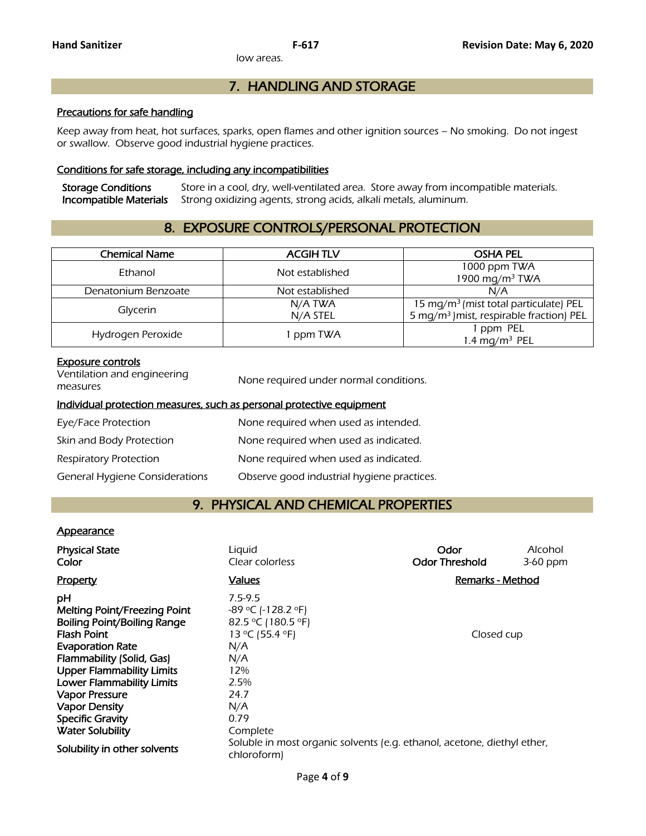low areas.

## 7. HANDLING AND STORAGE

#### Precautions for safe handling

Keep away from heat, hot surfaces, sparks, open flames and other ignition sources – No smoking. Do not ingest or swallow. Observe good industrial hygiene practices.

#### Conditions for safe storage, including any incompatibilities

Storage Conditions Store in a cool, dry, well-ventilated area. Store away from incompatible materials.<br>Incompatible Materials Strong oxidizing agents, strong acids, alkali metals, aluminum. Strong oxidizing agents, strong acids, alkali metals, aluminum.

# 8. EXPOSURE CONTROLS/PERSONAL PROTECTION

| <b>Chemical Name</b> | <b>ACGIHTLV</b> | <b>OSHA PEL</b>                                      |
|----------------------|-----------------|------------------------------------------------------|
| Ethanol              | Not established | 1000 ppm TWA                                         |
|                      |                 | 1900 mg/m <sup>3</sup> TWA                           |
| Denatonium Benzoate  | Not established | N/A                                                  |
|                      | N/A TWA         | 15 mg/m <sup>3</sup> (mist total particulate) PEL    |
| Glycerin             | N/A STEL        | 5 mg/m <sup>3</sup> ) mist, respirable fraction) PEL |
|                      |                 | 1 ppm PEL                                            |
| Hydrogen Peroxide    | 1 ppm TWA       | 1.4 mg/m <sup>3</sup> PEL                            |
|                      |                 |                                                      |

#### Exposure controls

| Ventilation and engineering<br>measures                               | None required under normal conditions. |  |
|-----------------------------------------------------------------------|----------------------------------------|--|
| Individual protection measures, such as personal protective equipment |                                        |  |
| Eye/Face Protection                                                   | None required when used as intended.   |  |
| Skin and Body Protection                                              | None required when used as indicated.  |  |

Respiratory Protection **None required when used as indicated.** 

General Hygiene Considerations Observe good industrial hygiene practices.

### 9. PHYSICAL AND CHEMICAL PROPERTIES

#### **Appearance**

| <b>Physical State</b><br>Color                                                                                                                                                                                                                                                               | Liquid<br>Clear colorless                                                                                                        | Odor<br><b>Odor Threshold</b> | Alcohol<br>3-60 ppm |
|----------------------------------------------------------------------------------------------------------------------------------------------------------------------------------------------------------------------------------------------------------------------------------------------|----------------------------------------------------------------------------------------------------------------------------------|-------------------------------|---------------------|
| <b>Property</b>                                                                                                                                                                                                                                                                              | <b>Values</b>                                                                                                                    | Remarks - Method              |                     |
| рH<br>Melting Point/Freezing Point<br>Boiling Point/Boiling Range<br><b>Flash Point</b><br><b>Evaporation Rate</b><br>Flammability (Solid, Gas)<br><b>Upper Flammability Limits</b><br><b>Lower Flammability Limits</b><br>Vapor Pressure<br><b>Vapor Density</b><br><b>Specific Gravity</b> | $7.5 - 9.5$<br>$-89$ °C (-128.2 °F)<br>82.5 °C (180.5 °F)<br>13 °C (55.4 °F)<br>N/A<br>N/A<br>12%<br>2.5%<br>24.7<br>N/A<br>0.79 | Closed cup                    |                     |
| <b>Water Solubility</b>                                                                                                                                                                                                                                                                      | Complete                                                                                                                         |                               |                     |
| Solubility in other solvents                                                                                                                                                                                                                                                                 | Soluble in most organic solvents (e.g. ethanol, acetone, diethyl ether,<br>chloroform)                                           |                               |                     |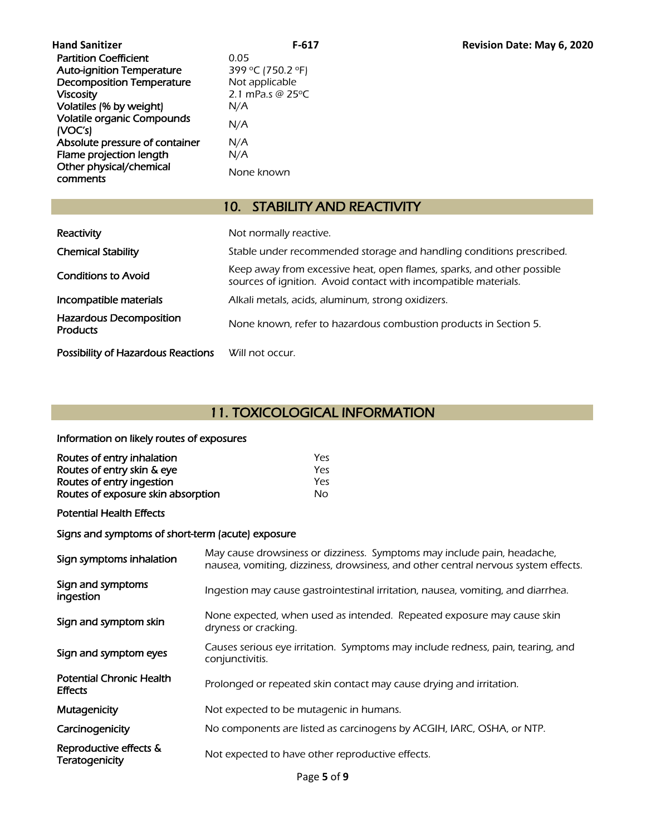| <b>Hand Sanitizer</b>                        | F-61                       |
|----------------------------------------------|----------------------------|
| <b>Partition Coefficient</b>                 | 0.05                       |
| <b>Auto-ignition Temperature</b>             | 399 °C (750.2 °F)          |
| <b>Decomposition Temperature</b>             | Not applicable             |
| <b>Viscosity</b>                             | 2.1 mPa.s @ $25^{\circ}$ C |
| Volatiles (% by weight)                      | N/A                        |
| <b>Volatile organic Compounds</b><br>(VOC's) | N/A                        |
| Absolute pressure of container               | N/A                        |
| Flame projection length                      | N/A                        |
| Other physical/chemical<br>comments          | None known                 |

# 10. STABILITY AND REACTIVITY

| Reactivity                                        | Not normally reactive.                                                                                                                    |
|---------------------------------------------------|-------------------------------------------------------------------------------------------------------------------------------------------|
| <b>Chemical Stability</b>                         | Stable under recommended storage and handling conditions prescribed.                                                                      |
| <b>Conditions to Avoid</b>                        | Keep away from excessive heat, open flames, sparks, and other possible<br>sources of ignition. Avoid contact with incompatible materials. |
| Incompatible materials                            | Alkali metals, acids, aluminum, strong oxidizers.                                                                                         |
| <b>Hazardous Decomposition</b><br><b>Products</b> | None known, refer to hazardous combustion products in Section 5.                                                                          |
| <b>Possibility of Hazardous Reactions</b>         | Will not occur.                                                                                                                           |

# 11. TOXICOLOGICAL INFORMATION

# Information on likely routes of exposures

| Routes of entry inhalation         | Yes |
|------------------------------------|-----|
| Routes of entry skin & eye         | Yes |
| Routes of entry ingestion          | Yes |
| Routes of exposure skin absorption | Nο  |
|                                    |     |

### Potential Health Effects

### Signs and symptoms of short-term (acute) exposure

| Sign symptoms inhalation                          | May cause drowsiness or dizziness. Symptoms may include pain, headache,<br>nausea, vomiting, dizziness, drowsiness, and other central nervous system effects. |
|---------------------------------------------------|---------------------------------------------------------------------------------------------------------------------------------------------------------------|
| Sign and symptoms<br>ingestion                    | Ingestion may cause gastrointestinal irritation, nausea, vomiting, and diarrhea.                                                                              |
| Sign and symptom skin                             | None expected, when used as intended. Repeated exposure may cause skin<br>dryness or cracking.                                                                |
| Sign and symptom eyes                             | Causes serious eye irritation. Symptoms may include redness, pain, tearing, and<br>conjunctivitis.                                                            |
| <b>Potential Chronic Health</b><br><b>Effects</b> | Prolonged or repeated skin contact may cause drying and irritation.                                                                                           |
| Mutagenicity                                      | Not expected to be mutagenic in humans.                                                                                                                       |
| Carcinogenicity                                   | No components are listed as carcinogens by ACGIH, IARC, OSHA, or NTP.                                                                                         |
| Reproductive effects &<br><b>Teratogenicity</b>   | Not expected to have other reproductive effects.                                                                                                              |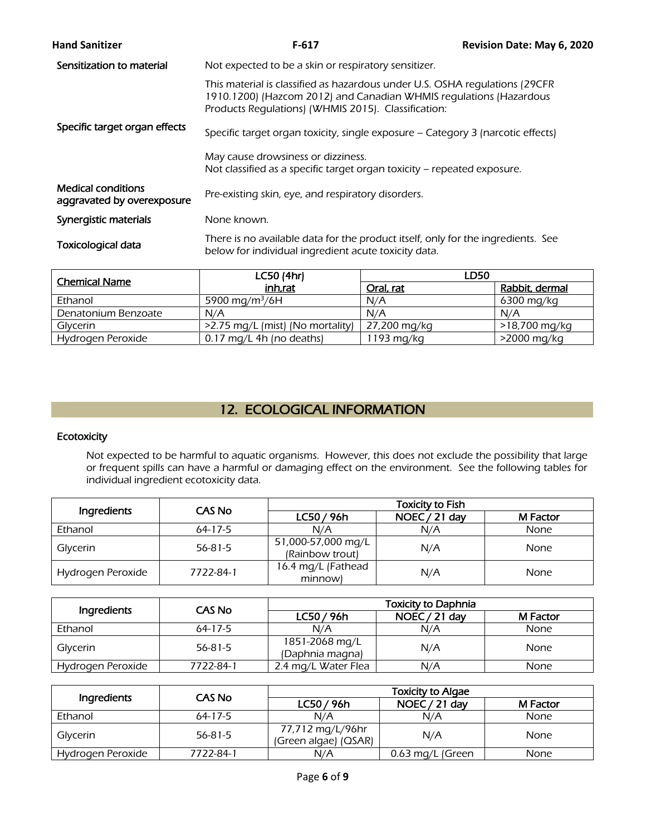| <b>Hand Sanitizer</b>                                   | $F-617$                                                                                                                                                                                                   | Revision Date: May 6, 2020 |
|---------------------------------------------------------|-----------------------------------------------------------------------------------------------------------------------------------------------------------------------------------------------------------|----------------------------|
| Sensitization to material                               | Not expected to be a skin or respiratory sensitizer.                                                                                                                                                      |                            |
|                                                         | This material is classified as hazardous under U.S. OSHA regulations (29CFR)<br>1910.1200) (Hazcom 2012) and Canadian WHMIS regulations (Hazardous<br>Products Regulations) (WHMIS 2015). Classification: |                            |
| Specific target organ effects                           | Specific target organ toxicity, single exposure - Category 3 (narcotic effects)                                                                                                                           |                            |
|                                                         | May cause drowsiness or dizziness.<br>Not classified as a specific target organ toxicity – repeated exposure.                                                                                             |                            |
| <b>Medical conditions</b><br>aggravated by overexposure | Pre-existing skin, eye, and respiratory disorders.                                                                                                                                                        |                            |
| Synergistic materials                                   | None known.                                                                                                                                                                                               |                            |
| <b>Toxicological data</b>                               | There is no available data for the product itself, only for the ingredients. See<br>below for individual ingredient acute toxicity data.                                                                  |                            |
|                                                         |                                                                                                                                                                                                           |                            |

| <b>Chemical Name</b> | LC50 (4hr)                       | LD50         |                |  |
|----------------------|----------------------------------|--------------|----------------|--|
|                      | inh.rat                          | Oral, rat    | Rabbit, dermal |  |
| Ethanol              | 5900 mg/m <sup>3</sup> /6H       | N/A          | 6300 mg/kg     |  |
| Denatonium Benzoate  | N/A                              | N/A          | N/A            |  |
| Glycerin             | >2.75 mg/L (mist) (No mortality) | 27,200 mg/kg | >18,700 mg/kg  |  |
| Hydrogen Peroxide    | $0.17$ mg/L 4h (no deaths)       | 1193 $mg/kg$ | >2000 mg/kg    |  |

# 12. ECOLOGICAL INFORMATION

### **Ecotoxicity**

Not expected to be harmful to aquatic organisms. However, this does not exclude the possibility that large or frequent spills can have a harmful or damaging effect on the environment. See the following tables for individual ingredient ecotoxicity data.

|                   | <b>CAS No</b> | <b>Toxicity to Fish</b>               |               |             |  |  |  |
|-------------------|---------------|---------------------------------------|---------------|-------------|--|--|--|
| Ingredients       |               | LC50/96h                              | NOEC / 21 day | M Factor    |  |  |  |
| Ethanol           | $64 - 17 - 5$ | N/A                                   | N/A           | None        |  |  |  |
| Glycerin          | $56 - 81 - 5$ | 51,000-57,000 mg/L<br>(Rainbow trout) | N/A           | <b>None</b> |  |  |  |
| Hydrogen Peroxide | 7722-84-1     | 16.4 mg/L (Fathead<br>minnowl         | N/A           | <b>None</b> |  |  |  |

|                   | CAS No        | <b>Toxicity to Daphnia</b>        |               |          |  |  |
|-------------------|---------------|-----------------------------------|---------------|----------|--|--|
| Ingredients       |               | LC50/96h                          | NOEC / 21 day | M Factor |  |  |
| Ethanol           | $64 - 17 - 5$ | N/A                               | N/A           | None     |  |  |
| Glycerin          | $56 - 81 - 5$ | 1851-2068 mg/L<br>(Daphnia magna) | N/A           | None     |  |  |
| Hydrogen Peroxide | 7722-84-1     | 2.4 mg/L Water Flea               | N/A           | None     |  |  |

|                   | CAS No        | <b>Toxicity to Algae</b>                 |                  |             |  |  |
|-------------------|---------------|------------------------------------------|------------------|-------------|--|--|
| Ingredients       |               | LC50 / 96h                               | NOEC / 21 day    | M Factor    |  |  |
| Ethanol           | $64 - 17 - 5$ | N/A                                      | N/A              | <b>None</b> |  |  |
| Glycerin          | $56 - 81 - 5$ | 77,712 mg/L/96hr<br>(Green algae) (OSAR) | N/A              | <b>None</b> |  |  |
| Hydrogen Peroxide | 7722-84-1     | N/A                                      | 0.63 mg/L (Green | None        |  |  |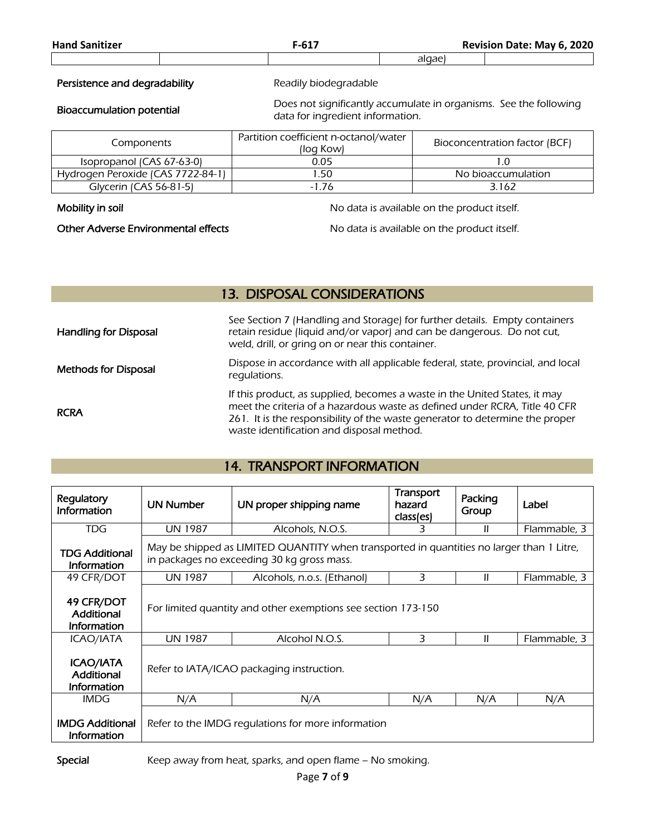| <b>Hand Sanitizer</b>             | $F-617$                                                                                               |                               | Revision Date: May 6, 2020 |
|-----------------------------------|-------------------------------------------------------------------------------------------------------|-------------------------------|----------------------------|
|                                   |                                                                                                       | algae)                        |                            |
| Persistence and degradability     | Readily biodegradable                                                                                 |                               |                            |
| <b>Bioaccumulation potential</b>  | Does not significantly accumulate in organisms. See the following<br>data for ingredient information. |                               |                            |
| Components                        | Partition coefficient n-octanol/water<br>(log Kow)                                                    | Bioconcentration factor (BCF) |                            |
| Isopropanol (CAS 67-63-0)         | 0.05                                                                                                  |                               | 1.0                        |
| Hydrogen Peroxide (CAS 7722-84-1) | 1.50                                                                                                  |                               | No bioaccumulation         |
| Glycerin (CAS 56-81-5)            | $-1.76$                                                                                               |                               | 3.162                      |

Mobility in soil Mobility in soil and the product itself.

Other Adverse Environmental effects No data is available on the product itself.

# 13. DISPOSAL CONSIDERATIONS

| <b>Handling for Disposal</b> | See Section 7 (Handling and Storage) for further details. Empty containers<br>retain residue (liquid and/or vapor) and can be dangerous. Do not cut,<br>weld, drill, or gring on or near this container.                                                                              |
|------------------------------|---------------------------------------------------------------------------------------------------------------------------------------------------------------------------------------------------------------------------------------------------------------------------------------|
| <b>Methods for Disposal</b>  | Dispose in accordance with all applicable federal, state, provincial, and local<br>regulations.                                                                                                                                                                                       |
| <b>RCRA</b>                  | If this product, as supplied, becomes a waste in the United States, it may<br>meet the criteria of a hazardous waste as defined under RCRA, Title 40 CFR<br>261. It is the responsibility of the waste generator to determine the proper<br>waste identification and disposal method. |

# 14. TRANSPORT INFORMATION

| Regulatory<br><b>Information</b>                     | <b>UN Number</b>                          | UN proper shipping name                                                                                                                 | Transport<br>hazard<br>class(es) | Packing<br>Group | Label        |  |  |
|------------------------------------------------------|-------------------------------------------|-----------------------------------------------------------------------------------------------------------------------------------------|----------------------------------|------------------|--------------|--|--|
| <b>TDG</b>                                           | <b>UN 1987</b>                            | Alcohols, N.O.S.                                                                                                                        | 3                                | Ш                | Flammable, 3 |  |  |
| <b>TDG Additional</b><br><b>Information</b>          |                                           | May be shipped as LIMITED QUANTITY when transported in quantities no larger than 1 Litre,<br>in packages no exceeding 30 kg gross mass. |                                  |                  |              |  |  |
| 49 CFR/DOT                                           | <b>UN 1987</b>                            | Alcohols, n.o.s. (Ethanol)                                                                                                              | 3                                | Ш                | Flammable, 3 |  |  |
| 49 CFR/DOT<br>Additional<br><b>Information</b>       |                                           | For limited quantity and other exemptions see section 173-150                                                                           |                                  |                  |              |  |  |
| <b>ICAO/IATA</b>                                     | <b>UN 1987</b>                            | Alcohol N.O.S.                                                                                                                          | 3                                | Ш                | Flammable, 3 |  |  |
| <b>ICAO/IATA</b><br>Additional<br><b>Information</b> | Refer to IATA/ICAO packaging instruction. |                                                                                                                                         |                                  |                  |              |  |  |
| <b>IMDG</b>                                          | N/A                                       | N/A                                                                                                                                     | N/A                              | N/A              | N/A          |  |  |
| <b>IMDG Additional</b><br><b>Information</b>         |                                           | Refer to the IMDG regulations for more information                                                                                      |                                  |                  |              |  |  |

Special Keep away from heat, sparks, and open flame - No smoking.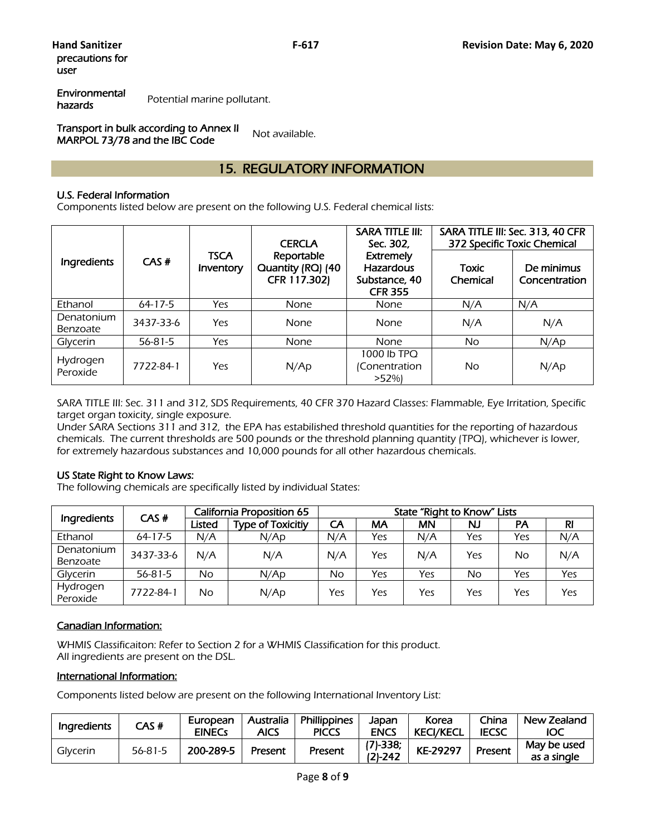Environmental hazards Potential marine pollutant.

Transport in bulk according to Annex II **MARPOL 73/78 and the IBC Code** Not available.

# 15. REGULATORY INFORMATION

### U.S. Federal Information

Components listed below are present on the following U.S. Federal chemical lists:

|                        |               |                          | <b>CERCLA</b>                                   | SARA TITLE III:<br>Sec. 302.                                            |                          | SARA TITLE III: Sec. 313, 40 CFR<br>372 Specific Toxic Chemical |
|------------------------|---------------|--------------------------|-------------------------------------------------|-------------------------------------------------------------------------|--------------------------|-----------------------------------------------------------------|
| Ingredients            | CAS#          | <b>TSCA</b><br>Inventory | Reportable<br>Quantity (RQ) (40<br>CFR 117.302) | <b>Extremely</b><br><b>Hazardous</b><br>Substance, 40<br><b>CFR 355</b> | <b>Toxic</b><br>Chemical | De minimus<br>Concentration                                     |
| Ethanol                | $64 - 17 - 5$ | Yes                      | <b>None</b>                                     | None                                                                    | N/A                      | N/A                                                             |
| Denatonium<br>Benzoate | 3437-33-6     | Yes                      | <b>None</b>                                     | None                                                                    | N/A                      | N/A                                                             |
| Glycerin               | $56 - 81 - 5$ | Yes                      | <b>None</b>                                     | None                                                                    | No.                      | N/Ap                                                            |
| Hydrogen<br>Peroxide   | 7722-84-1     | Yes                      | N/Ap                                            | 1000 lb TPQ<br>(Conentration<br>>52%                                    | No                       | N/Ap                                                            |

SARA TITLE III: Sec. 311 and 312, SDS Requirements, 40 CFR 370 Hazard Classes: Flammable, Eye Irritation, Specific target organ toxicity, single exposure.

Under SARA Sections 311 and 312, the EPA has estabilished threshold quantities for the reporting of hazardous chemicals. The current thresholds are 500 pounds or the threshold planning quantity (TPQ), whichever is lower, for extremely hazardous substances and 10,000 pounds for all other hazardous chemicals.

#### US State Right to Know Laws:

The following chemicals are specifically listed by individual States:

| Ingredients          | CAS#          | California Proposition 65 |                          | State "Right to Know" Lists |     |           |     |           |     |
|----------------------|---------------|---------------------------|--------------------------|-----------------------------|-----|-----------|-----|-----------|-----|
|                      |               | Listed                    | <b>Type of Toxicitiy</b> | CA                          | МA  | <b>MN</b> | NJ  | <b>PA</b> | RI  |
| Ethanol              | $64 - 17 - 5$ | N/A                       | N/Ap                     | N/A                         | Yes | N/A       | Yes | Yes       | N/A |
| Denatonium           | 3437-33-6     | N/A                       | N/A                      | N/A                         | Yes | N/A       | Yes | No        | N/A |
| Benzoate             |               |                           |                          |                             |     |           |     |           |     |
| Glycerin             | $56 - 81 - 5$ | No                        | N/Ap                     | No                          | Yes | Yes       | No  | Yes       | Yes |
| Hydrogen<br>Peroxide | 7722-84-1     | No                        | N/Ap                     | Yes                         | Yes | Yes       | Yes | Yes       | Yes |

### Canadian Information:

WHMIS Classificaiton: Refer to Section 2 for a WHMIS Classification for this product. All ingredients are present on the DSL.

### International Information:

Components listed below are present on the following International Inventory List:

| Ingredients | CAS #         | European<br><b>EINECS</b> | Australia<br>AICS | <b>Phillippines</b><br><b>PICCS</b> | Japan<br><b>ENCS</b>    | Korea<br><b>KECI/KECL</b> | China<br><b>IECSC</b> | New Zealand<br>IOC         |
|-------------|---------------|---------------------------|-------------------|-------------------------------------|-------------------------|---------------------------|-----------------------|----------------------------|
| Glycerin    | $56 - 81 - 5$ | 200-289-5                 | Present           | Present                             | $(7)-338;$<br>$(2)-242$ | KE-29297                  | Present               | May be used<br>as a single |